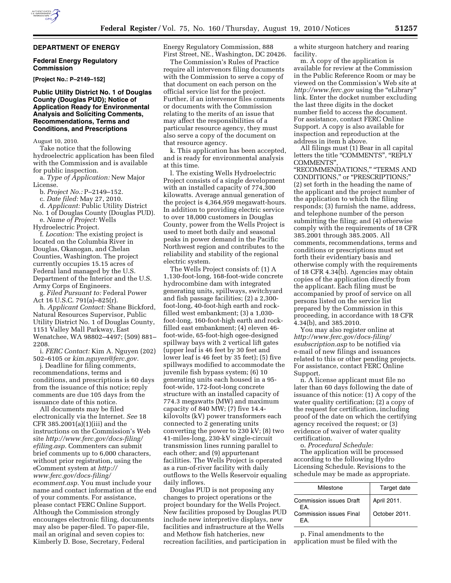# **DEPARTMENT OF ENERGY**

#### **Federal Energy Regulatory Commission**

**[Project No.: P–2149–152]** 

### **Public Utility District No. 1 of Douglas County (Douglas PUD); Notice of Application Ready for Environmental Analysis and Soliciting Comments, Recommendations, Terms and Conditions, and Prescriptions**

August 10, 2010.

Take notice that the following hydroelectric application has been filed with the Commission and is available for public inspection.

a. *Type of Application:* New Major License.

b. *Project No.:* P–2149–152.

c. *Date filed:* May 27, 2010.

d. *Applicant:* Public Utility District No. 1 of Douglas County (Douglas PUD).

e. *Name of Project:* Wells

Hydroelectric Project. f. *Location:* The existing project is located on the Columbia River in Douglas, Okanogan, and Chelan Counties, Washington. The project currently occupies 15.15 acres of Federal land managed by the U.S. Department of the Interior and the U.S. Army Corps of Engineers.

g. *Filed Pursuant to:* Federal Power Act 16 U.S.C. 791(a)–825(r).

h. *Applicant Contact:* Shane Bickford, Natural Resources Supervisor, Public Utility District No. 1 of Douglas County, 1151 Valley Mall Parkway, East Wenatchee, WA 98802–4497; (509) 881– 2208.

i. *FERC Contact:* Kim A. Nguyen (202) 502–6105 or *[kim.nguyen@ferc.gov.](mailto:kim.nguyen@ferc.gov)* 

j. Deadline for filing comments, recommendations, terms and conditions, and prescriptions is 60 days from the issuance of this notice; reply comments are due 105 days from the issuance date of this notice.

All documents may be filed electronically via the Internet. *See* 18 CFR 385.2001(a)(1)(iii) and the instructions on the Commission's Web site *[http://www.ferc.gov/docs-filing/](http://www.ferc.gov/docs-filing/efiling.asp) [efiling.asp.](http://www.ferc.gov/docs-filing/efiling.asp)* Commenters can submit brief comments up to 6,000 characters, without prior registration, using the eComment system at *[http://](http://www.ferc.gov/docs-filing/ecomment.asp) [www.ferc.gov/docs-filing/](http://www.ferc.gov/docs-filing/ecomment.asp)  [ecomment.asp.](http://www.ferc.gov/docs-filing/ecomment.asp)* You must include your name and contact information at the end of your comments. For assistance, please contact FERC Online Support. Although the Commission strongly encourages electronic filing, documents may also be paper-filed. To paper-file, mail an original and seven copies to: Kimberly D. Bose, Secretary, Federal

Energy Regulatory Commission, 888 First Street, NE., Washington, DC 20426.

The Commission's Rules of Practice require all intervenors filing documents with the Commission to serve a copy of that document on each person on the official service list for the project. Further, if an intervenor files comments or documents with the Commission relating to the merits of an issue that may affect the responsibilities of a particular resource agency, they must also serve a copy of the document on that resource agency.

k. This application has been accepted, and is ready for environmental analysis at this time.

l. The existing Wells Hydroelectric Project consists of a single development with an installed capacity of 774,300 kilowatts. Average annual generation of the project is 4,364,959 megawatt-hours. In addition to providing electric service to over 18,000 customers in Douglas County, power from the Wells Project is used to meet both daily and seasonal peaks in power demand in the Pacific Northwest region and contributes to the reliability and stability of the regional electric system.

The Wells Project consists of: (1) A 1,130-foot-long, 168-foot-wide concrete hydrocombine dam with integrated generating units, spillways, switchyard and fish passage facilities; (2) a 2,300 foot-long, 40-foot-high earth and rockfilled west embankment; (3) a 1,030 foot-long, 160-foot-high earth and rockfilled east embankment; (4) eleven 46 foot-wide, 65-foot-high ogee-designed spillway bays with 2 vertical lift gates (upper leaf is 46 feet by 30 feet and lower leaf is 46 feet by 35 feet); (5) five spillways modified to accommodate the juvenile fish bypass system; (6) 10 generating units each housed in a 95 foot-wide, 172-foot-long concrete structure with an installed capacity of 774.3 megawatts (MW) and maximum capacity of 840 MW; (7) five 14.4 kilovolts (kV) power transformers each connected to 2 generating units converting the power to 230 kV; (8) two 41-miles-long, 230-kV single-circuit transmission lines running parallel to each other; and (9) appurtenant facilities. The Wells Project is operated as a run-of-river facility with daily outflows to the Wells Reservoir equaling daily inflows.

Douglas PUD is not proposing any changes to project operations or the project boundary for the Wells Project. New facilities proposed by Douglas PUD include new interpretive displays, new facilities and infrastructure at the Wells and Methow fish hatcheries, new recreation facilities, and participation in a white sturgeon hatchery and rearing facility.

m. A copy of the application is available for review at the Commission in the Public Reference Room or may be viewed on the Commission's Web site at *http://www.ferc.gov* using the "eLibrary" link. Enter the docket number excluding the last three digits in the docket number field to access the document. For assistance, contact FERC Online Support. A copy is also available for inspection and reproduction at the address in item h above.

All filings must (1) Bear in all capital letters the title "COMMENTS", "REPLY COMMENTS'',

''RECOMMENDATIONS,'' ''TERMS AND CONDITIONS,'' or ''PRESCRIPTIONS;'' (2) set forth in the heading the name of the applicant and the project number of the application to which the filing responds; (3) furnish the name, address, and telephone number of the person submitting the filing; and (4) otherwise comply with the requirements of 18 CFR 385.2001 through 385.2005. All comments, recommendations, terms and conditions or prescriptions must set forth their evidentiary basis and otherwise comply with the requirements of 18 CFR 4.34(b). Agencies may obtain copies of the application directly from the applicant. Each filing must be accompanied by proof of service on all persons listed on the service list prepared by the Commission in this proceeding, in accordance with 18 CFR 4.34(b), and 385.2010.

You may also register online at *[http://www.ferc.gov/docs-filing/](http://www.ferc.gov/docs-filing/esubscription.asp) [esubscription.asp](http://www.ferc.gov/docs-filing/esubscription.asp)* to be notified via e-mail of new filings and issuances related to this or other pending projects. For assistance, contact FERC Online Support.

n. A license applicant must file no later than 60 days following the date of issuance of this notice: (1) A copy of the water quality certification; (2) a copy of the request for certification, including proof of the date on which the certifying agency received the request; or (3) evidence of waiver of water quality certification.

o. *Procedural Schedule:* 

The application will be processed according to the following Hydro Licensing Schedule. Revisions to the schedule may be made as appropriate.

| Milestone                             | Target date   |
|---------------------------------------|---------------|
| <b>Commission issues Draft</b><br>FA. | April 2011.   |
| <b>Commission issues Final</b><br>FΔ  | October 2011. |

p. Final amendments to the application must be filed with the